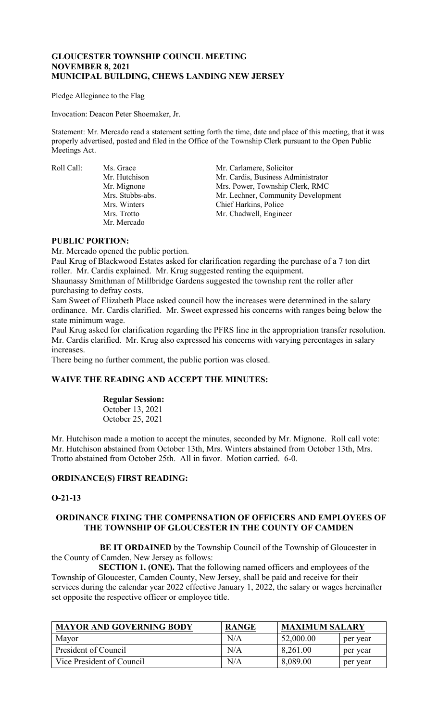## **GLOUCESTER TOWNSHIP COUNCIL MEETING NOVEMBER 8, 2021 MUNICIPAL BUILDING, CHEWS LANDING NEW JERSEY**

Pledge Allegiance to the Flag

Invocation: Deacon Peter Shoemaker, Jr.

Statement: Mr. Mercado read a statement setting forth the time, date and place of this meeting, that it was properly advertised, posted and filed in the Office of the Township Clerk pursuant to the Open Public Meetings Act.

Roll Call: Ms. Grace Mr. Carlamere, Solicitor Mr. Mercado

Mr. Hutchison Mr. Cardis, Business Administrator<br>Mr. Mignone Mrs. Power, Township Clerk, RMC Mrs. Power, Township Clerk, RMC Mrs. Stubbs-abs. Mr. Lechner, Community Development Mrs. Winters Chief Harkins, Police<br>Mrs. Trotto Mr. Chadwell. Engine Mr. Chadwell, Engineer

## **PUBLIC PORTION:**

Mr. Mercado opened the public portion.

Paul Krug of Blackwood Estates asked for clarification regarding the purchase of a 7 ton dirt roller. Mr. Cardis explained. Mr. Krug suggested renting the equipment.

Shaunassy Smithman of Millbridge Gardens suggested the township rent the roller after purchasing to defray costs.

Sam Sweet of Elizabeth Place asked council how the increases were determined in the salary ordinance. Mr. Cardis clarified. Mr. Sweet expressed his concerns with ranges being below the state minimum wage.

Paul Krug asked for clarification regarding the PFRS line in the appropriation transfer resolution. Mr. Cardis clarified. Mr. Krug also expressed his concerns with varying percentages in salary increases.

There being no further comment, the public portion was closed.

# **WAIVE THE READING AND ACCEPT THE MINUTES:**

## **Regular Session:**

October 13, 2021 October 25, 2021

Mr. Hutchison made a motion to accept the minutes, seconded by Mr. Mignone. Roll call vote: Mr. Hutchison abstained from October 13th, Mrs. Winters abstained from October 13th, Mrs. Trotto abstained from October 25th. All in favor. Motion carried. 6-0.

## **ORDINANCE(S) FIRST READING:**

## **O-21-13**

## **ORDINANCE FIXING THE COMPENSATION OF OFFICERS AND EMPLOYEES OF THE TOWNSHIP OF GLOUCESTER IN THE COUNTY OF CAMDEN**

**BE IT ORDAINED** by the Township Council of the Township of Gloucester in the County of Camden, New Jersey as follows:

 **SECTION 1. (ONE).** That the following named officers and employees of the Township of Gloucester, Camden County, New Jersey, shall be paid and receive for their services during the calendar year 2022 effective January 1, 2022, the salary or wages hereinafter set opposite the respective officer or employee title.

| <b>MAYOR AND GOVERNING BODY</b> | <b>RANGE</b> | <b>MAXIMUM SALARY</b> |          |
|---------------------------------|--------------|-----------------------|----------|
| Mayor                           | N/A          | 52,000.00             | per year |
| President of Council            | N/A          | 8,261.00              | per year |
| Vice President of Council       | N/A          | 8,089.00              | per year |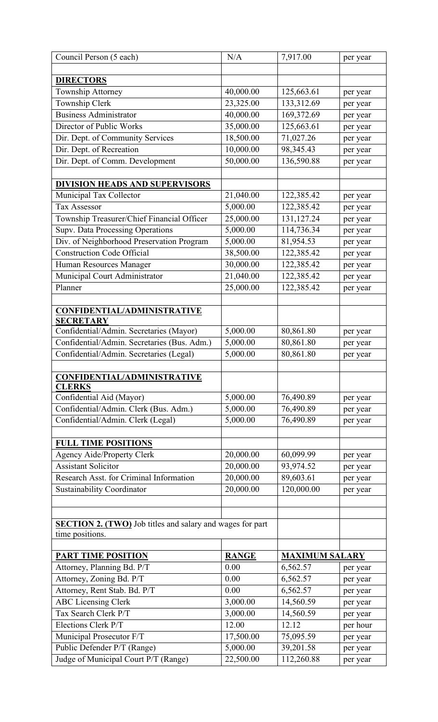| Council Person (5 each)                                                             | N/A          | 7,917.00              | per year |
|-------------------------------------------------------------------------------------|--------------|-----------------------|----------|
|                                                                                     |              |                       |          |
| <b>DIRECTORS</b>                                                                    |              |                       |          |
| Township Attorney                                                                   | 40,000.00    | 125,663.61            | per year |
| Township Clerk                                                                      | 23,325.00    | 133,312.69            | per year |
| <b>Business Administrator</b>                                                       | 40,000.00    | 169,372.69            | per year |
| Director of Public Works                                                            | 35,000.00    | 125,663.61            | per year |
| Dir. Dept. of Community Services                                                    | 18,500.00    | 71,027.26             | per year |
| Dir. Dept. of Recreation                                                            | 10,000.00    | 98,345.43             | per year |
| Dir. Dept. of Comm. Development                                                     | 50,000.00    | 136,590.88            | per year |
|                                                                                     |              |                       |          |
| <b>DIVISION HEADS AND SUPERVISORS</b>                                               |              |                       |          |
| Municipal Tax Collector                                                             | 21,040.00    | 122,385.42            | per year |
| <b>Tax Assessor</b>                                                                 | 5,000.00     | 122,385.42            | per year |
| Township Treasurer/Chief Financial Officer                                          | 25,000.00    | 131,127.24            | per year |
| Supv. Data Processing Operations                                                    | 5,000.00     | 114,736.34            | per year |
| Div. of Neighborhood Preservation Program                                           | 5,000.00     | 81,954.53             | per year |
| <b>Construction Code Official</b>                                                   | 38,500.00    | 122,385.42            | per year |
| Human Resources Manager                                                             | 30,000.00    | 122,385.42            | per year |
| Municipal Court Administrator                                                       | 21,040.00    | 122,385.42            | per year |
| Planner                                                                             | 25,000.00    | 122,385.42            | per year |
|                                                                                     |              |                       |          |
| <b>CONFIDENTIAL/ADMINISTRATIVE</b><br><b>SECRETARY</b>                              |              |                       |          |
| Confidential/Admin. Secretaries (Mayor)                                             | 5,000.00     | 80,861.80             | per year |
| Confidential/Admin. Secretaries (Bus. Adm.)                                         | 5,000.00     | 80,861.80             | per year |
| Confidential/Admin. Secretaries (Legal)                                             | 5,000.00     | 80,861.80             | per year |
|                                                                                     |              |                       |          |
| <b>CONFIDENTIAL/ADMINISTRATIVE</b>                                                  |              |                       |          |
| <b>CLERKS</b>                                                                       |              |                       |          |
| Confidential Aid (Mayor)                                                            | 5,000.00     | 76,490.89             | per year |
| Confidential/Admin. Clerk (Bus. Adm.)                                               | 5,000.00     | 76,490.89             | per year |
| Confidential/Admin. Clerk (Legal)                                                   | 5,000.00     | 76,490.89             | per year |
|                                                                                     |              |                       |          |
| <b>FULL TIME POSITIONS</b>                                                          |              |                       |          |
| <b>Agency Aide/Property Clerk</b>                                                   | 20,000.00    | 60,099.99             | per year |
| <b>Assistant Solicitor</b>                                                          | 20,000.00    | 93,974.52             | per year |
| Research Asst. for Criminal Information                                             | 20,000.00    | 89,603.61             | per year |
| <b>Sustainability Coordinator</b>                                                   | 20,000.00    | 120,000.00            | per year |
|                                                                                     |              |                       |          |
|                                                                                     |              |                       |          |
| <b>SECTION 2. (TWO)</b> Job titles and salary and wages for part<br>time positions. |              |                       |          |
|                                                                                     |              |                       |          |
| <b>PART TIME POSITION</b>                                                           | <b>RANGE</b> | <b>MAXIMUM SALARY</b> |          |
| Attorney, Planning Bd. P/T                                                          | 0.00         | 6,562.57              | per year |
| Attorney, Zoning Bd. P/T                                                            | 0.00         | 6,562.57              | per year |
| Attorney, Rent Stab. Bd. P/T                                                        | 0.00         | 6,562.57              | per year |
| <b>ABC Licensing Clerk</b>                                                          | 3,000.00     | 14,560.59             | per year |
| Tax Search Clerk P/T                                                                | 3,000.00     | 14,560.59             | per year |
| Elections Clerk P/T                                                                 | 12.00        | 12.12                 | per hour |
| Municipal Prosecutor F/T                                                            | 17,500.00    | 75,095.59             | per year |
| Public Defender P/T (Range)                                                         | 5,000.00     | 39,201.58             | per year |
| Judge of Municipal Court P/T (Range)                                                | 22,500.00    | 112,260.88            | per year |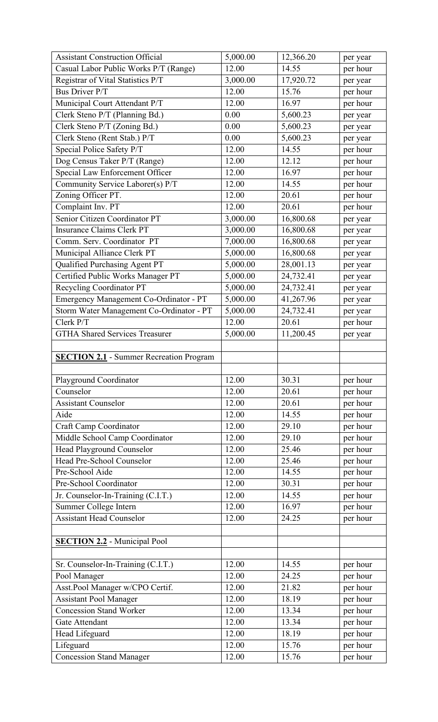| <b>Assistant Construction Official</b>         | 5,000.00 | 12,366.20 | per year |
|------------------------------------------------|----------|-----------|----------|
| Casual Labor Public Works P/T (Range)          | 12.00    | 14.55     | per hour |
| Registrar of Vital Statistics P/T              | 3,000.00 | 17,920.72 | per year |
| <b>Bus Driver P/T</b>                          | 12.00    | 15.76     | per hour |
| Municipal Court Attendant P/T                  | 12.00    | 16.97     | per hour |
| Clerk Steno P/T (Planning Bd.)                 | 0.00     | 5,600.23  | per year |
| Clerk Steno P/T (Zoning Bd.)                   | 0.00     | 5,600.23  | per year |
| Clerk Steno (Rent Stab.) P/T                   | 0.00     | 5,600.23  | per year |
| Special Police Safety P/T                      | 12.00    | 14.55     | per hour |
| Dog Census Taker P/T (Range)                   | 12.00    | 12.12     | per hour |
| Special Law Enforcement Officer                | 12.00    | 16.97     | per hour |
| Community Service Laborer(s) P/T               | 12.00    | 14.55     | per hour |
| Zoning Officer PT.                             | 12.00    | 20.61     | per hour |
| Complaint Inv. PT                              | 12.00    | 20.61     | per hour |
| Senior Citizen Coordinator PT                  | 3,000.00 | 16,800.68 | per year |
| <b>Insurance Claims Clerk PT</b>               | 3,000.00 | 16,800.68 | per year |
| Comm. Serv. Coordinator PT                     | 7,000.00 | 16,800.68 | per year |
| Municipal Alliance Clerk PT                    | 5,000.00 | 16,800.68 | per year |
| Qualified Purchasing Agent PT                  | 5,000.00 | 28,001.13 | per year |
| Certified Public Works Manager PT              | 5,000.00 | 24,732.41 | per year |
| Recycling Coordinator PT                       | 5,000.00 | 24,732.41 | per year |
| Emergency Management Co-Ordinator - PT         | 5,000.00 | 41,267.96 | per year |
| Storm Water Management Co-Ordinator - PT       | 5,000.00 | 24,732.41 | per year |
| Clerk P/T                                      | 12.00    | 20.61     | per hour |
| <b>GTHA Shared Services Treasurer</b>          | 5,000.00 | 11,200.45 | per year |
|                                                |          |           |          |
| <b>SECTION 2.1</b> - Summer Recreation Program |          |           |          |
|                                                |          |           |          |
| Playground Coordinator                         | 12.00    | 30.31     | per hour |
| Counselor                                      | 12.00    | 20.61     | per hour |
| <b>Assistant Counselor</b>                     | 12.00    | 20.61     | per hour |
| Aide                                           | 12.00    | 14.55     | per hour |
| Craft Camp Coordinator                         | 12.00    | 29.10     | per hour |
| Middle School Camp Coordinator                 | 12.00    | 29.10     | per hour |
| Head Playground Counselor                      | 12.00    | 25.46     | per hour |
| Head Pre-School Counselor                      | 12.00    | 25.46     | per hour |
| Pre-School Aide                                | 12.00    | 14.55     | per hour |
| Pre-School Coordinator                         | 12.00    | 30.31     | per hour |
| Jr. Counselor-In-Training (C.I.T.)             | 12.00    | 14.55     | per hour |
| Summer College Intern                          | 12.00    | 16.97     | per hour |
| <b>Assistant Head Counselor</b>                | 12.00    | 24.25     | per hour |
|                                                |          |           |          |
| <b>SECTION 2.2</b> - Municipal Pool            |          |           |          |
|                                                |          |           |          |
| Sr. Counselor-In-Training (C.I.T.)             | 12.00    | 14.55     | per hour |
| Pool Manager                                   | 12.00    | 24.25     | per hour |
| Asst.Pool Manager w/CPO Certif.                | 12.00    | 21.82     | per hour |
| <b>Assistant Pool Manager</b>                  | 12.00    | 18.19     | per hour |
| <b>Concession Stand Worker</b>                 | 12.00    | 13.34     | per hour |
| Gate Attendant                                 | 12.00    | 13.34     | per hour |
| Head Lifeguard                                 | 12.00    | 18.19     | per hour |
| Lifeguard                                      | 12.00    | 15.76     | per hour |
| <b>Concession Stand Manager</b>                | 12.00    | 15.76     | per hour |
|                                                |          |           |          |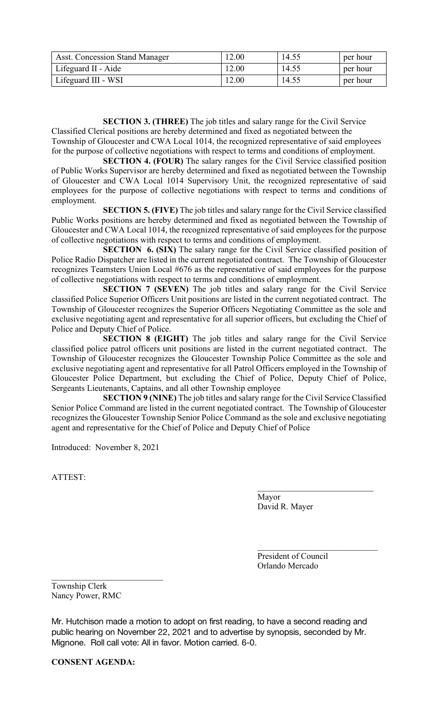| <b>Asst. Concession Stand Manager</b> | 12.00 | 14.55 | per hour |
|---------------------------------------|-------|-------|----------|
| Lifeguard II - Aide                   | 12.00 | 14.55 | per hour |
| Lifeguard III - WSI                   | 12.00 | 14.55 | per hour |

**SECTION 3. (THREE)** The job titles and salary range for the Civil Service Classified Clerical positions are hereby determined and fixed as negotiated between the

Township of Gloucester and CWA Local 1014, the recognized representative of said employees for the purpose of collective negotiations with respect to terms and conditions of employment.

**SECTION 4. (FOUR)** The salary ranges for the Civil Service classified position of Public Works Supervisor are hereby determined and fixed as negotiated between the Township of Gloucester and CWA Local 1014 Supervisory Unit, the recognized representative of said employees for the purpose of collective negotiations with respect to terms and conditions of employment.

**SECTION 5. (FIVE)** The job titles and salary range for the Civil Service classified Public Works positions are hereby determined and fixed as negotiated between the Township of Gloucester and CWA Local 1014, the recognized representative of said employees for the purpose of collective negotiations with respect to terms and conditions of employment.

**SECTION 6. (SIX)** The salary range for the Civil Service classified position of Police Radio Dispatcher are listed in the current negotiated contract. The Township of Gloucester recognizes Teamsters Union Local #676 as the representative of said employees for the purpose of collective negotiations with respect to terms and conditions of employment.

**SECTION 7 (SEVEN)** The job titles and salary range for the Civil Service classified Police Superior Officers Unit positions are listed in the current negotiated contract. The Township of Gloucester recognizes the Superior Officers Negotiating Committee as the sole and exclusive negotiating agent and representative for all superior officers, but excluding the Chief of Police and Deputy Chief of Police.

**SECTION 8 (EIGHT)** The job titles and salary range for the Civil Service classified police patrol officers unit positions are listed in the current negotiated contract. The Township of Gloucester recognizes the Gloucester Township Police Committee as the sole and exclusive negotiating agent and representative for all Patrol Officers employed in the Township of Gloucester Police Department, but excluding the Chief of Police, Deputy Chief of Police, Sergeants Lieutenants, Captains, and all other Township employee

**SECTION 9 (NINE)** The job titles and salary range for the Civil Service Classified Senior Police Command are listed in the current negotiated contract. The Township of Gloucester recognizes the Gloucester Township Senior Police Command as the sole and exclusive negotiating agent and representative for the Chief of Police and Deputy Chief of Police

Introduced: November 8, 2021

ATTEST:

Mayor David R. Mayer

President of Council Orlando Mercado

 $\mathcal{L}_\mathcal{L}$  , which is a set of the set of the set of the set of the set of the set of the set of the set of the set of the set of the set of the set of the set of the set of the set of the set of the set of the set of

Township Clerk Nancy Power, RMC

\_\_\_\_\_\_\_\_\_\_\_\_\_\_\_\_\_\_\_\_\_\_\_\_\_\_

Mr. Hutchison made a motion to adopt on first reading, to have a second reading and public hearing on November 22, 2021 and to advertise by synopsis, seconded by Mr. Mignone. Roll call vote: All in favor. Motion carried. 6-0.

**CONSENT AGENDA:**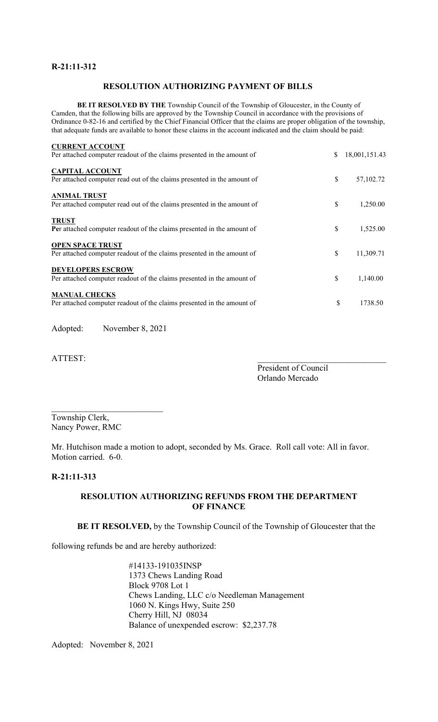# **R-21:11-312**

# **RESOLUTION AUTHORIZING PAYMENT OF BILLS**

**BE IT RESOLVED BY THE** Township Council of the Township of Gloucester, in the County of Camden, that the following bills are approved by the Township Council in accordance with the provisions of Ordinance 0-82-16 and certified by the Chief Financial Officer that the claims are proper obligation of the township, that adequate funds are available to honor these claims in the account indicated and the claim should be paid:

| <b>CURRENT ACCOUNT</b>                                                                            |                     |
|---------------------------------------------------------------------------------------------------|---------------------|
| Per attached computer readout of the claims presented in the amount of                            | \$<br>18,001,151.43 |
| <b>CAPITAL ACCOUNT</b><br>Per attached computer read out of the claims presented in the amount of | \$<br>57,102.72     |
|                                                                                                   |                     |
| <b>ANIMAL TRUST</b>                                                                               |                     |
| Per attached computer read out of the claims presented in the amount of                           | \$<br>1,250.00      |
| <b>TRUST</b>                                                                                      |                     |
| Per attached computer readout of the claims presented in the amount of                            | \$<br>1.525.00      |
| <b>OPEN SPACE TRUST</b>                                                                           |                     |
| Per attached computer readout of the claims presented in the amount of                            | \$<br>11,309.71     |
| <b>DEVELOPERS ESCROW</b>                                                                          |                     |
| Per attached computer readout of the claims presented in the amount of                            | \$<br>1,140.00      |
| <b>MANUAL CHECKS</b>                                                                              |                     |
| Per attached computer readout of the claims presented in the amount of                            | \$<br>1738.50       |
|                                                                                                   |                     |

Adopted: November 8, 2021

\_\_\_\_\_\_\_\_\_\_\_\_\_\_\_\_\_\_\_\_\_\_\_\_\_\_

ATTEST:

President of Council Orlando Mercado

Township Clerk, Nancy Power, RMC

Mr. Hutchison made a motion to adopt, seconded by Ms. Grace. Roll call vote: All in favor. Motion carried. 6-0.

#### **R-21:11-313**

## **RESOLUTION AUTHORIZING REFUNDS FROM THE DEPARTMENT OF FINANCE**

**BE IT RESOLVED,** by the Township Council of the Township of Gloucester that the

following refunds be and are hereby authorized:

#14133-191035INSP 1373 Chews Landing Road Block 9708 Lot 1 Chews Landing, LLC c/o Needleman Management 1060 N. Kings Hwy, Suite 250 Cherry Hill, NJ 08034 Balance of unexpended escrow: \$2,237.78

Adopted: November 8, 2021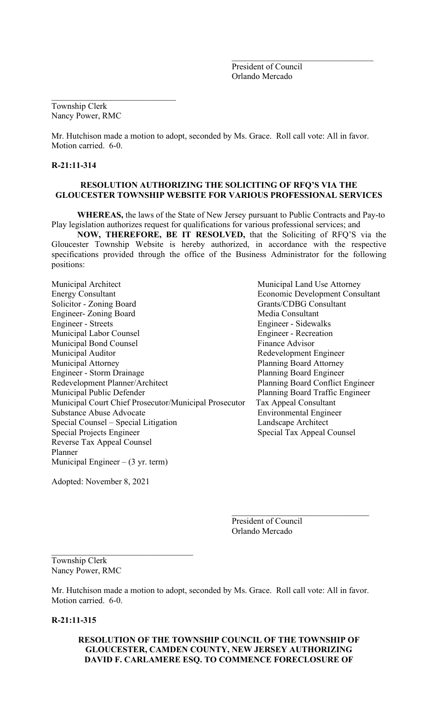President of Council Orlando Mercado

 $\mathcal{L}_\mathcal{L}$  , where  $\mathcal{L}_\mathcal{L}$  , we have the set of the set of the set of the set of the set of the set of the set of the set of the set of the set of the set of the set of the set of the set of the set of the set

Township Clerk Nancy Power, RMC

 $\mathcal{L}_\mathcal{L}$  , which is a set of the set of the set of the set of the set of the set of the set of the set of the set of the set of the set of the set of the set of the set of the set of the set of the set of the set of

Mr. Hutchison made a motion to adopt, seconded by Ms. Grace. Roll call vote: All in favor. Motion carried. 6-0.

#### **R-21:11-314**

#### **RESOLUTION AUTHORIZING THE SOLICITING OF RFQ'S VIA THE GLOUCESTER TOWNSHIP WEBSITE FOR VARIOUS PROFESSIONAL SERVICES**

 **WHEREAS,** the laws of the State of New Jersey pursuant to Public Contracts and Pay-to Play legislation authorizes request for qualifications for various professional services; and

**NOW, THEREFORE, BE IT RESOLVED,** that the Soliciting of RFQ'S via the Gloucester Township Website is hereby authorized, in accordance with the respective specifications provided through the office of the Business Administrator for the following positions:

Municipal Architect Municipal Land Use Attorney Energy Consultant Economic Development Consultant Solicitor - Zoning Board Grants/CDBG Consultant Engineer- Zoning Board Media Consultant Engineer - Streets Engineer - Sidewalks Municipal Labor Counsel **Engineer** - Recreation Municipal Bond Counsel **Finance Advisor** Municipal Auditor **Municipal Auditor** Redevelopment Engineer Municipal Attorney Planning Board Attorney Engineer - Storm Drainage **Planning Board Engineer** Redevelopment Planner/Architect Planner Planning Board Conflict Engineer Municipal Public Defender **Planning Board Traffic Engineer** Municipal Court Chief Prosecutor/Municipal Prosecutor Tax Appeal Consultant Substance Abuse Advocate **Environmental Engineer** Special Counsel – Special Litigation Landscape Architect Special Projects Engineer Special Tax Appeal Counsel Reverse Tax Appeal Counsel Planner Municipal Engineer  $-$  (3 yr. term)

Adopted: November 8, 2021

 $\mathcal{L}_\mathcal{L}$  , where  $\mathcal{L}_\mathcal{L}$  , we have the set of the set of the set of the set of the set of the set of the set of the set of the set of the set of the set of the set of the set of the set of the set of the set

President of Council Orlando Mercado

 $\mathcal{L}_\text{max}$  and  $\mathcal{L}_\text{max}$  and  $\mathcal{L}_\text{max}$  and  $\mathcal{L}_\text{max}$ 

Township Clerk Nancy Power, RMC

Mr. Hutchison made a motion to adopt, seconded by Ms. Grace. Roll call vote: All in favor. Motion carried. 6-0.

### **R-21:11-315**

## **RESOLUTION OF THE TOWNSHIP COUNCIL OF THE TOWNSHIP OF GLOUCESTER, CAMDEN COUNTY, NEW JERSEY AUTHORIZING DAVID F. CARLAMERE ESQ. TO COMMENCE FORECLOSURE OF**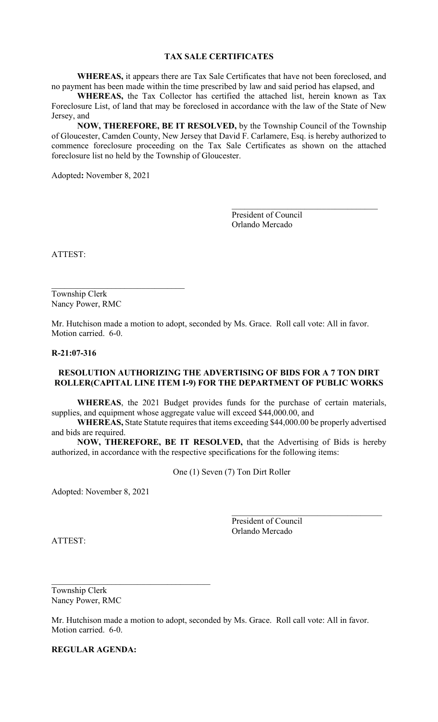## **TAX SALE CERTIFICATES**

**WHEREAS,** it appears there are Tax Sale Certificates that have not been foreclosed, and no payment has been made within the time prescribed by law and said period has elapsed, and

**WHEREAS,** the Tax Collector has certified the attached list, herein known as Tax Foreclosure List, of land that may be foreclosed in accordance with the law of the State of New Jersey, and

**NOW, THEREFORE, BE IT RESOLVED,** by the Township Council of the Township of Gloucester, Camden County, New Jersey that David F. Carlamere, Esq. is hereby authorized to commence foreclosure proceeding on the Tax Sale Certificates as shown on the attached foreclosure list no held by the Township of Gloucester.

Adopted**:** November 8, 2021

President of Council Orlando Mercado

 $\mathcal{L}_\mathcal{L}$ 

ATTEST:

Township Clerk Nancy Power, RMC

 $\mathcal{L}_\mathcal{L}$ 

Mr. Hutchison made a motion to adopt, seconded by Ms. Grace. Roll call vote: All in favor. Motion carried. 6-0.

### **R-21:07-316**

### **RESOLUTION AUTHORIZING THE ADVERTISING OF BIDS FOR A 7 TON DIRT ROLLER(CAPITAL LINE ITEM I-9) FOR THE DEPARTMENT OF PUBLIC WORKS**

**WHEREAS**, the 2021 Budget provides funds for the purchase of certain materials, supplies, and equipment whose aggregate value will exceed \$44,000.00, and

**WHEREAS,** State Statute requires that items exceeding \$44,000.00 be properly advertised and bids are required.

**NOW, THEREFORE, BE IT RESOLVED,** that the Advertising of Bids is hereby authorized, in accordance with the respective specifications for the following items:

One (1) Seven (7) Ton Dirt Roller

Adopted: November 8, 2021

President of Council Orlando Mercado

 $\mathcal{L}_\text{max}$  and  $\mathcal{L}_\text{max}$  and  $\mathcal{L}_\text{max}$  and  $\mathcal{L}_\text{max}$ 

ATTEST:

Township Clerk Nancy Power, RMC

\_\_\_\_\_\_\_\_\_\_\_\_\_\_\_\_\_\_\_\_\_\_\_\_\_\_\_\_\_\_\_\_\_\_\_\_\_

Mr. Hutchison made a motion to adopt, seconded by Ms. Grace. Roll call vote: All in favor. Motion carried. 6-0.

**REGULAR AGENDA:**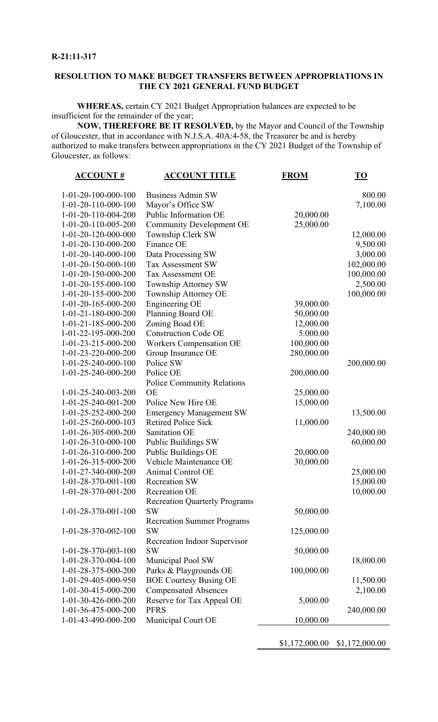# **RESOLUTION TO MAKE BUDGET TRANSFERS BETWEEN APPROPRIATIONS IN THE CY 2021 GENERAL FUND BUDGET**

**WHEREAS,** certain CY 2021 Budget Appropriation balances are expected to be insufficient for the remainder of the year;

**NOW, THEREFORE BE IT RESOLVED,** by the Mayor and Council of the Township of Gloucester, that in accordance with N.J.S.A. 40A:4-58, the Treasurer be and is hereby authorized to make transfers between appropriations in the CY 2021 Budget of the Township of Gloucester, as follows:

| <u>ACCOUNT #</u>      | <u>ACCOUNT TITLE</u>                 | <b>FROM</b> | $\underline{\mathbf{TO}}$ |
|-----------------------|--------------------------------------|-------------|---------------------------|
| $1-01-20-100-000-100$ | <b>Business Admin SW</b>             |             | 800.00                    |
| $1-01-20-110-000-100$ | Mayor's Office SW                    |             | 7,100.00                  |
| 1-01-20-110-004-200   | Public Information OE                | 20,000.00   |                           |
| 1-01-20-110-005-200   | <b>Community Development OE</b>      | 25,000.00   |                           |
| 1-01-20-120-000-000   | Township Clerk SW                    |             | 12,000.00                 |
| 1-01-20-130-000-200   | Finance OE                           |             | 9,500.00                  |
| $1-01-20-140-000-100$ | Data Processing SW                   |             | 3,000.00                  |
| $1-01-20-150-000-100$ | <b>Tax Assessment SW</b>             |             | 102,000.00                |
| 1-01-20-150-000-200   | Tax Assessment OE                    |             | 100,000.00                |
| $1-01-20-155-000-100$ | Township Attorney SW                 |             | 2,500.00                  |
| 1-01-20-155-000-200   | Township Attorney OE                 |             | 100,000.00                |
| 1-01-20-165-000-200   | Engineering OE                       | 39,000.00   |                           |
| 1-01-21-180-000-200   | Planning Board OE                    | 50,000.00   |                           |
| 1-01-21-185-000-200   | Zoning Boad OE                       | 12,000.00   |                           |
| 1-01-22-195-000-200   | <b>Construction Code OE</b>          | 5.000.00    |                           |
| 1-01-23-215-000-200   | <b>Workers Compensation OE</b>       | 100,000.00  |                           |
| 1-01-23-220-000-200   | Group Insurance OE                   | 280,000.00  |                           |
| 1-01-25-240-000-100   | Police SW                            |             | 200,000.00                |
| 1-01-25-240-000-200   | Police OE                            | 200,000.00  |                           |
|                       | <b>Police Community Relations</b>    |             |                           |
| 1-01-25-240-003-200   | <b>OE</b>                            | 25,000.00   |                           |
| 1-01-25-240-001-200   | Police New Hire OE                   | 15,000.00   |                           |
| 1-01-25-252-000-200   | <b>Emergency Management SW</b>       |             | 13,500.00                 |
| 1-01-25-260-000-103   | <b>Retired Police Sick</b>           | 11,000.00   |                           |
| 1-01-26-305-000-200   | Sanitation OE                        |             | 240,000.00                |
| $1-01-26-310-000-100$ | <b>Public Buildings SW</b>           |             | 60,000.00                 |
| 1-01-26-310-000-200   | Public Buildings OE                  | 20,000.00   |                           |
| 1-01-26-315-000-200   | Vehicle Maintenance OE               | 30,000.00   |                           |
| 1-01-27-340-000-200   | Animal Control OE                    |             | 25,000.00                 |
| 1-01-28-370-001-100   | <b>Recreation SW</b>                 |             | 15,000.00                 |
| 1-01-28-370-001-200   | Recreation OE                        |             | 10,000.00                 |
|                       | <b>Recreation Quarterly Programs</b> |             |                           |
| 1-01-28-370-001-100   | <b>SW</b>                            | 50,000.00   |                           |
|                       | <b>Recreation Summer Programs</b>    |             |                           |
| 1-01-28-370-002-100   | <b>SW</b>                            | 125,000.00  |                           |
|                       | Recreation Indoor Supervisor         |             |                           |
| 1-01-28-370-003-100   | <b>SW</b>                            | 50,000.00   |                           |
| 1-01-28-370-004-100   | Municipal Pool SW                    |             | 18,000.00                 |
| 1-01-28-375-000-200   | Parks & Playgrounds OE               | 100,000.00  |                           |
| 1-01-29-405-000-950   | <b>BOE Courtesy Busing OE</b>        |             | 11,500.00                 |
| 1-01-30-415-000-200   | <b>Compensated Absences</b>          |             | 2,100.00                  |
| 1-01-30-426-000-200   | Reserve for Tax Appeal OE            | 5,000.00    |                           |
| 1-01-36-475-000-200   | <b>PFRS</b>                          |             | 240,000.00                |
| 1-01-43-490-000-200   | Municipal Court OE                   | 10,000.00   |                           |
|                       |                                      |             |                           |

\$1,172,000.00 \$1,172,000.00